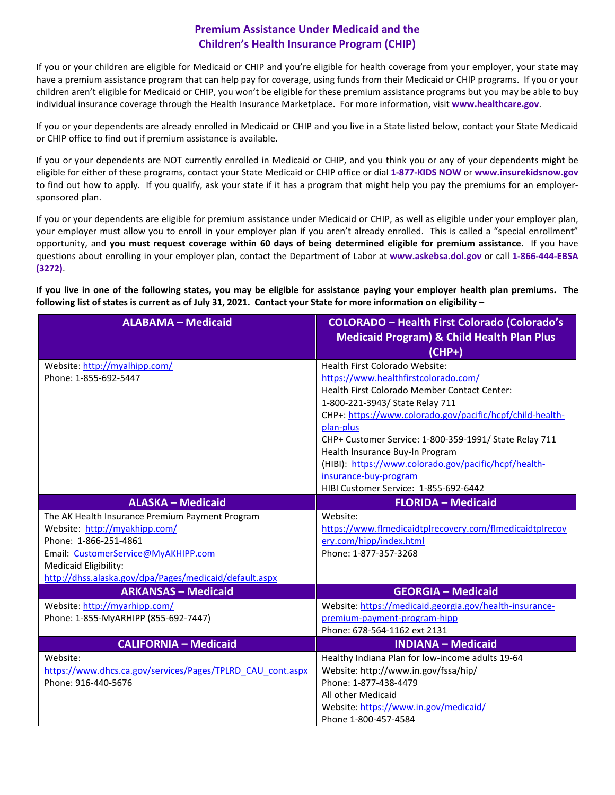## **Premium Assistance Under Medicaid and the Children's Health Insurance Program (CHIP)**

If you or your children are eligible for Medicaid or CHIP and you're eligible for health coverage from your employer, your state may have a premium assistance program that can help pay for coverage, using funds from their Medicaid or CHIP programs. If you or your children aren't eligible for Medicaid or CHIP, you won't be eligible for these premium assistance programs but you may be able to buy individual insurance coverage through the Health Insurance Marketplace. For more information, visit **[www.healthcare.gov](http://www.healthcare.gov/)**.

If you or your dependents are already enrolled in Medicaid or CHIP and you live in a State listed below, contact your State Medicaid or CHIP office to find out if premium assistance is available.

If you or your dependents are NOT currently enrolled in Medicaid or CHIP, and you think you or any of your dependents might be eligible for either of these programs, contact your State Medicaid or CHIP office or dial **1-877-KIDS NOW** or **[www.insurekidsnow.gov](http://www.insurekidsnow.gov/)** to find out how to apply. If you qualify, ask your state if it has a program that might help you pay the premiums for an employersponsored plan.

If you or your dependents are eligible for premium assistance under Medicaid or CHIP, as well as eligible under your employer plan, your employer must allow you to enroll in your employer plan if you aren't already enrolled. This is called a "special enrollment" opportunity, and **you must request coverage within 60 days of being determined eligible for premium assistance**. If you have questions about enrolling in your employer plan, contact the Department of Labor at **[www.askebsa.dol.gov](http://www.askebsa.dol.gov/)** or call **1-866-444-EBSA (3272)**.

**If you live in one of the following states, you may be eligible for assistance paying your employer health plan premiums. The following list of states is current as of July 31, 2021. Contact your State for more information on eligibility –**

| <b>ALABAMA - Medicaid</b>                                  | <b>COLORADO - Health First Colorado (Colorado's</b>       |
|------------------------------------------------------------|-----------------------------------------------------------|
|                                                            | <b>Medicaid Program) &amp; Child Health Plan Plus</b>     |
|                                                            | (CHP+)                                                    |
| Website: http://myalhipp.com/                              | Health First Colorado Website:                            |
| Phone: 1-855-692-5447                                      | https://www.healthfirstcolorado.com/                      |
|                                                            | Health First Colorado Member Contact Center:              |
|                                                            | 1-800-221-3943/ State Relay 711                           |
|                                                            | CHP+: https://www.colorado.gov/pacific/hcpf/child-health- |
|                                                            | plan-plus                                                 |
|                                                            | CHP+ Customer Service: 1-800-359-1991/ State Relay 711    |
|                                                            | Health Insurance Buy-In Program                           |
|                                                            | (HIBI): https://www.colorado.gov/pacific/hcpf/health-     |
|                                                            | insurance-buy-program                                     |
|                                                            | HIBI Customer Service: 1-855-692-6442                     |
| <b>ALASKA - Medicaid</b>                                   | <b>FLORIDA - Medicaid</b>                                 |
| The AK Health Insurance Premium Payment Program            | Website:                                                  |
| Website: http://myakhipp.com/                              | https://www.flmedicaidtplrecovery.com/flmedicaidtplrecov  |
| Phone: 1-866-251-4861                                      | ery.com/hipp/index.html                                   |
| Email: CustomerService@MyAKHIPP.com                        | Phone: 1-877-357-3268                                     |
| Medicaid Eligibility:                                      |                                                           |
| http://dhss.alaska.gov/dpa/Pages/medicaid/default.aspx     |                                                           |
| <b>ARKANSAS - Medicaid</b>                                 | <b>GEORGIA - Medicaid</b>                                 |
| Website: http://myarhipp.com/                              | Website: https://medicaid.georgia.gov/health-insurance-   |
| Phone: 1-855-MyARHIPP (855-692-7447)                       | premium-payment-program-hipp                              |
|                                                            | Phone: 678-564-1162 ext 2131                              |
| <b>CALIFORNIA - Medicaid</b>                               | <b>INDIANA - Medicaid</b>                                 |
| Website:                                                   | Healthy Indiana Plan for low-income adults 19-64          |
| https://www.dhcs.ca.gov/services/Pages/TPLRD CAU cont.aspx | Website: http://www.in.gov/fssa/hip/                      |
| Phone: 916-440-5676                                        | Phone: 1-877-438-4479                                     |
|                                                            | All other Medicaid                                        |
|                                                            | Website: https://www.in.gov/medicaid/                     |
|                                                            | Phone 1-800-457-4584                                      |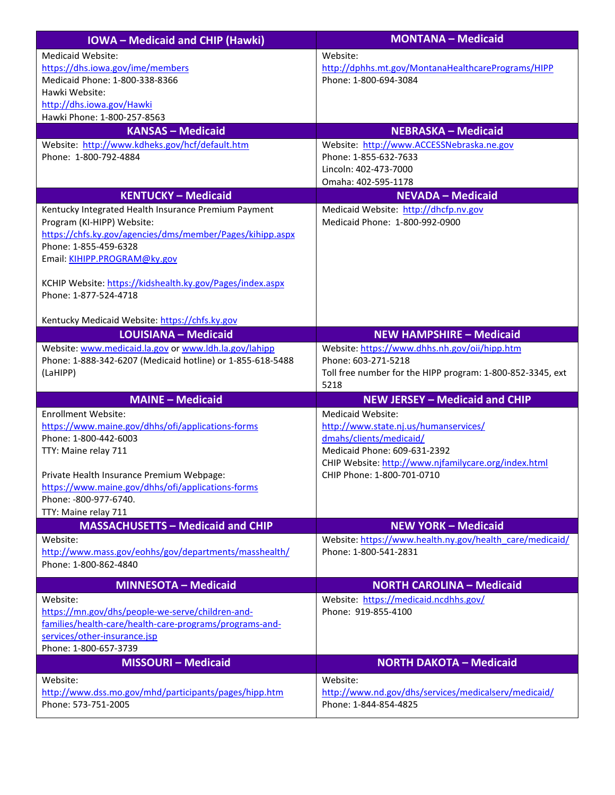| <b>IOWA-Medicaid and CHIP (Hawki)</b>                                                          | <b>MONTANA - Medicaid</b>                                                          |
|------------------------------------------------------------------------------------------------|------------------------------------------------------------------------------------|
| <b>Medicaid Website:</b>                                                                       | Website:                                                                           |
| https://dhs.iowa.gov/ime/members                                                               | http://dphhs.mt.gov/MontanaHealthcarePrograms/HIPP                                 |
| Medicaid Phone: 1-800-338-8366                                                                 | Phone: 1-800-694-3084                                                              |
| Hawki Website:                                                                                 |                                                                                    |
| http://dhs.iowa.gov/Hawki                                                                      |                                                                                    |
| Hawki Phone: 1-800-257-8563                                                                    |                                                                                    |
| <b>KANSAS - Medicaid</b>                                                                       | <b>NEBRASKA - Medicaid</b>                                                         |
| Website: http://www.kdheks.gov/hcf/default.htm                                                 | Website: http://www.ACCESSNebraska.ne.gov                                          |
| Phone: 1-800-792-4884                                                                          | Phone: 1-855-632-7633                                                              |
|                                                                                                | Lincoln: 402-473-7000                                                              |
|                                                                                                | Omaha: 402-595-1178                                                                |
| <b>KENTUCKY - Medicaid</b>                                                                     | <b>NEVADA - Medicaid</b>                                                           |
| Kentucky Integrated Health Insurance Premium Payment                                           | Medicaid Website: http://dhcfp.nv.gov                                              |
| Program (KI-HIPP) Website:                                                                     | Medicaid Phone: 1-800-992-0900                                                     |
| https://chfs.ky.gov/agencies/dms/member/Pages/kihipp.aspx                                      |                                                                                    |
| Phone: 1-855-459-6328                                                                          |                                                                                    |
| Email: KIHIPP.PROGRAM@ky.gov                                                                   |                                                                                    |
| KCHIP Website: https://kidshealth.ky.gov/Pages/index.aspx                                      |                                                                                    |
| Phone: 1-877-524-4718                                                                          |                                                                                    |
|                                                                                                |                                                                                    |
| Kentucky Medicaid Website: https://chfs.ky.gov                                                 |                                                                                    |
| <b>LOUISIANA - Medicaid</b>                                                                    | <b>NEW HAMPSHIRE - Medicaid</b>                                                    |
| Website: www.medicaid.la.gov or www.ldh.la.gov/lahipp                                          | Website: https://www.dhhs.nh.gov/oii/hipp.htm                                      |
| Phone: 1-888-342-6207 (Medicaid hotline) or 1-855-618-5488                                     | Phone: 603-271-5218                                                                |
| (LaHIPP)                                                                                       | Toll free number for the HIPP program: 1-800-852-3345, ext                         |
|                                                                                                | 5218                                                                               |
| <b>MAINE - Medicaid</b>                                                                        | <b>NEW JERSEY - Medicaid and CHIP</b>                                              |
| <b>Enrollment Website:</b>                                                                     | <b>Medicaid Website:</b>                                                           |
| https://www.maine.gov/dhhs/ofi/applications-forms                                              | http://www.state.nj.us/humanservices/                                              |
| Phone: 1-800-442-6003                                                                          | dmahs/clients/medicaid/                                                            |
| TTY: Maine relay 711                                                                           | Medicaid Phone: 609-631-2392                                                       |
|                                                                                                | CHIP Website: http://www.njfamilycare.org/index.html<br>CHIP Phone: 1-800-701-0710 |
| Private Health Insurance Premium Webpage:<br>https://www.maine.gov/dhhs/ofi/applications-forms |                                                                                    |
| Phone: -800-977-6740.                                                                          |                                                                                    |
| TTY: Maine relay 711                                                                           |                                                                                    |
| <b>MASSACHUSETTS - Medicaid and CHIP</b>                                                       | <b>NEW YORK - Medicaid</b>                                                         |
| Website:                                                                                       | Website: https://www.health.ny.gov/health care/medicaid/                           |
| http://www.mass.gov/eohhs/gov/departments/masshealth/                                          | Phone: 1-800-541-2831                                                              |
| Phone: 1-800-862-4840                                                                          |                                                                                    |
|                                                                                                |                                                                                    |
| <b>MINNESOTA - Medicaid</b>                                                                    | <b>NORTH CAROLINA - Medicaid</b>                                                   |
| Website:                                                                                       | Website: https://medicaid.ncdhhs.gov/                                              |
| https://mn.gov/dhs/people-we-serve/children-and-                                               | Phone: 919-855-4100                                                                |
| families/health-care/health-care-programs/programs-and-<br>services/other-insurance.jsp        |                                                                                    |
| Phone: 1-800-657-3739                                                                          |                                                                                    |
| <b>MISSOURI - Medicaid</b>                                                                     | <b>NORTH DAKOTA - Medicaid</b>                                                     |
|                                                                                                |                                                                                    |
| Website:                                                                                       | Website:                                                                           |
| http://www.dss.mo.gov/mhd/participants/pages/hipp.htm<br>Phone: 573-751-2005                   | http://www.nd.gov/dhs/services/medicalserv/medicaid/<br>Phone: 1-844-854-4825      |
|                                                                                                |                                                                                    |